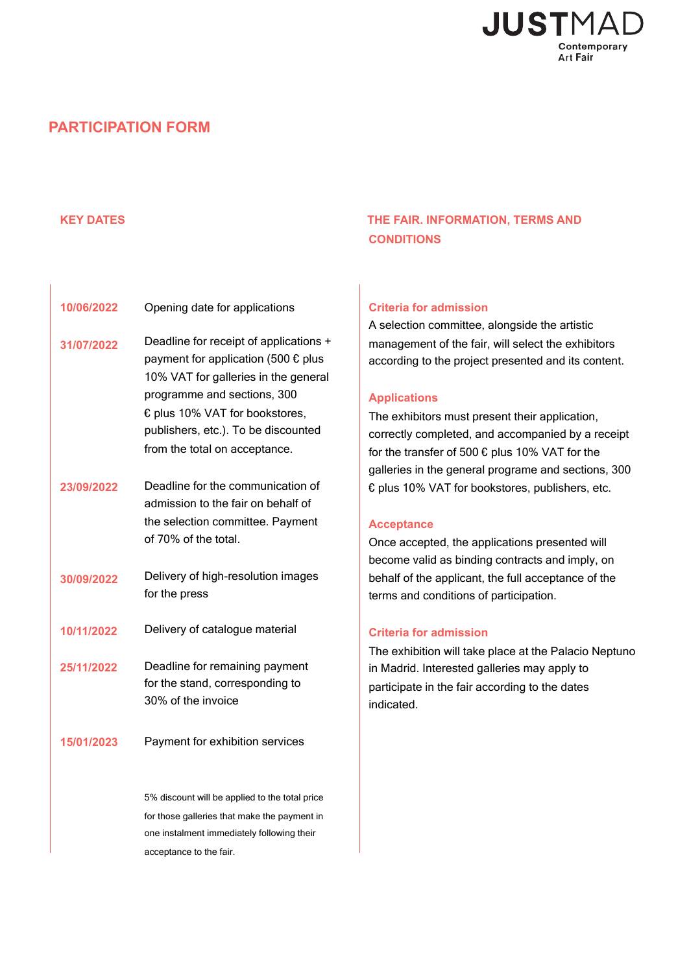

# **PARTICIPATION FORM**

# **KEY DATES THE FAIR. INFORMATION, TERMS AND CONDITIONS**

| 10/06/2022 | Opening date for applications                                                                                                                                                                                                                                           |  |
|------------|-------------------------------------------------------------------------------------------------------------------------------------------------------------------------------------------------------------------------------------------------------------------------|--|
| 31/07/2022 | Deadline for receipt of applications +<br>payment for application (500 $\epsilon$ plus<br>10% VAT for galleries in the general<br>programme and sections, 300<br>€ plus 10% VAT for bookstores,<br>publishers, etc.). To be discounted<br>from the total on acceptance. |  |
| 23/09/2022 | Deadline for the communication of<br>admission to the fair on behalf of<br>the selection committee. Payment<br>of 70% of the total.                                                                                                                                     |  |
| 30/09/2022 | Delivery of high-resolution images<br>for the press                                                                                                                                                                                                                     |  |
| 10/11/2022 | Delivery of catalogue material                                                                                                                                                                                                                                          |  |
| 25/11/2022 | Deadline for remaining payment<br>for the stand, corresponding to<br>30% of the invoice                                                                                                                                                                                 |  |
| 15/01/2023 | Payment for exhibition services                                                                                                                                                                                                                                         |  |
|            | 5% discount will be applied to the total price<br>for those galleries that make the payment in                                                                                                                                                                          |  |

one instalment immediately following their

acceptance to the fair.

#### **Criteria for admission**

A selection committee, alongside the artistic management of the fair, will select the exhibitors according to the project presented and its content.

#### **Applications**

The exhibitors must present their application, correctly completed, and accompanied by a receipt for the transfer of 500 € plus 10% VAT for the galleries in the general programe and sections, 300 € plus 10% VAT for bookstores, publishers, etc.

#### **Acceptance**

Once accepted, the applications presented will become valid as binding contracts and imply, on behalf of the applicant, the full acceptance of the terms and conditions of participation.

#### **Criteria for admission**

The exhibition will take place at the Palacio Neptuno in Madrid. Interested galleries may apply to participate in the fair according to the dates indicated.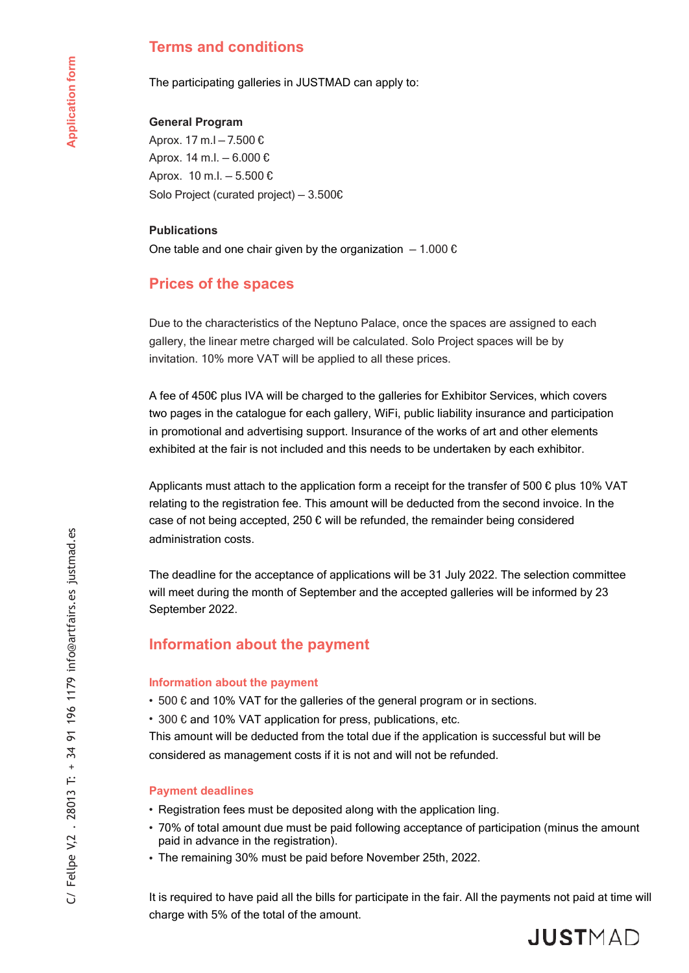# **Terms and conditions**

The participating galleries in JUSTMAD can apply to:

### **General Program**

Aprox. 17 m.l — 7.500 € Aprox. 14 m.l. — 6.000 € Aprox. 10 m.l. — 5.500 € Solo Project (curated project) — 3.500€

#### **Publications**

One table and one chair given by the organization  $-1.000 \epsilon$ 

# **Prices of the spaces**

Due to the characteristics of the Neptuno Palace, once the spaces are assigned to each gallery, the linear metre charged will be calculated. Solo Project spaces will be by invitation. 10% more VAT will be applied to all these prices.

A fee of 450€ plus IVA will be charged to the galleries for Exhibitor Services, which covers two pages in the catalogue for each gallery, WiFi, public liability insurance and participation in promotional and advertising support. Insurance of the works of art and other elements exhibited at the fair is not included and this needs to be undertaken by each exhibitor.

Applicants must attach to the application form a receipt for the transfer of 500  $\epsilon$  plus 10% VAT relating to the registration fee. This amount will be deducted from the second invoice. In the case of not being accepted, 250  $\epsilon$  will be refunded, the remainder being considered administration costs.

The deadline for the acceptance of applications will be 31 July 2022. The selection committee will meet during the month of September and the accepted galleries will be informed by 23 September 2022.

# **Information about the payment**

#### **Information about the payment**

- 500  $\epsilon$  and 10% VAT for the galleries of the general program or in sections.
- 300 € and 10% VAT application for press, publications, etc.

This amount will be deducted from the total due if the application is successful but will be considered as management costs if it is not and will not be refunded.

#### **Payment deadlines**

• Registration fees must be deposited along with the application ling.

- 70% of total amount due must be paid following acceptance of participation (minus the amount paid in advance in the registration).
- The remaining 30% must be paid before November 25th, 2022.

It is required to have paid all the bills for participate in the fair. All the payments not paid at time will charge with 5% of the total of the amount.

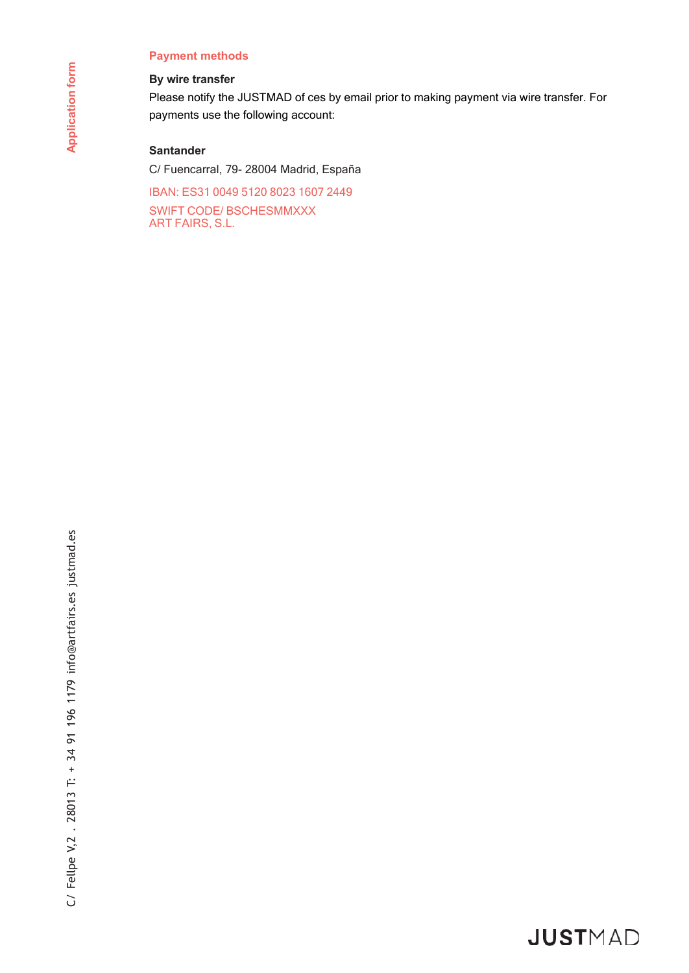### **Payment methods**

### **By wire transfer**

Please notify the JUSTMAD of ces by email prior to making payment via wire transfer. For payments use the following account:

## **Santander**

C/ Fuencarral, 79- 28004 Madrid, España

IBAN: ES31 0049 5120 8023 1607 2449 SWIFT CODE/ BSCHESMMXXX ART FAIRS, S.L.

# JUSTMAD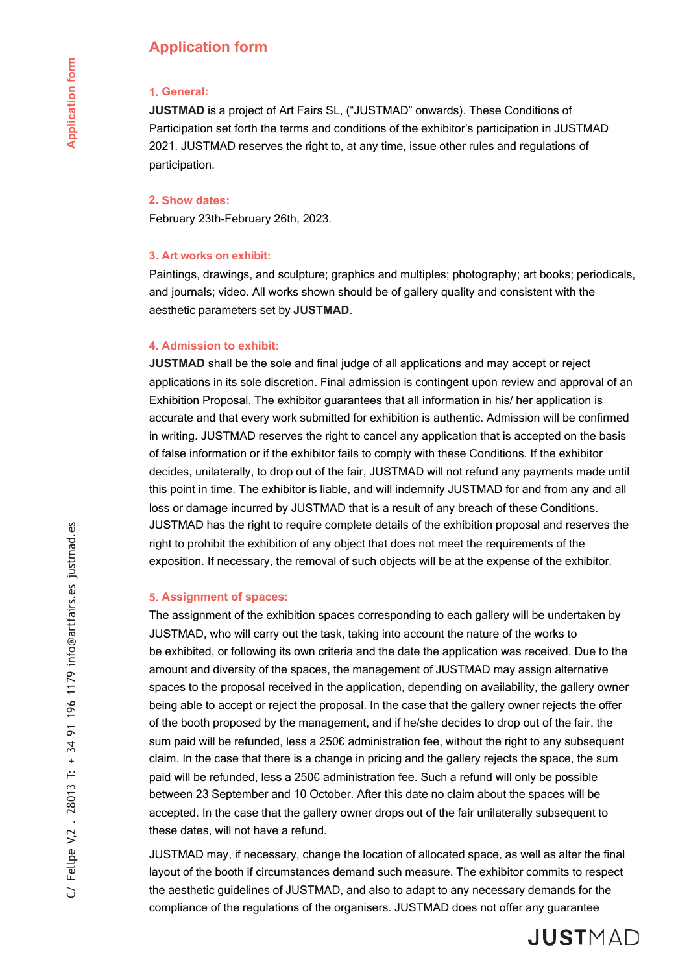# **Application form**

#### **1. General:**

**JUSTMAD** is a project of Art Fairs SL, ("JUSTMAD" onwards). These Conditions of Participation set forth the terms and conditions of the exhibitor's participation in JUSTMAD 2021. JUSTMAD reserves the right to, at any time, issue other rules and regulations of participation.

#### **2. Show dates:**

February 23th-February 26th, 2023.

#### **3. Art works on exhibit:**

Paintings, drawings, and sculpture; graphics and multiples; photography; art books; periodicals, and journals; video. All works shown should be of gallery quality and consistent with the aesthetic parameters set by **JUSTMAD**.

#### **4. Admission to exhibit:**

**JUSTMAD** shall be the sole and final judge of all applications and may accept or reject applications in its sole discretion. Final admission is contingent upon review and approval of an Exhibition Proposal. The exhibitor guarantees that all information in his/ her application is accurate and that every work submitted for exhibition is authentic. Admission will be confirmed in writing. JUSTMAD reserves the right to cancel any application that is accepted on the basis of false information or if the exhibitor fails to comply with these Conditions. If the exhibitor decides, unilaterally, to drop out of the fair, JUSTMAD will not refund any payments made until this point in time. The exhibitor is liable, and will indemnify JUSTMAD for and from any and all loss or damage incurred by JUSTMAD that is a result of any breach of these Conditions. JUSTMAD has the right to require complete details of the exhibition proposal and reserves the right to prohibit the exhibition of any object that does not meet the requirements of the exposition. If necessary, the removal of such objects will be at the expense of the exhibitor.

#### **5. Assignment of spaces:**

The assignment of the exhibition spaces corresponding to each gallery will be undertaken by JUSTMAD, who will carry out the task, taking into account the nature of the works to be exhibited, or following its own criteria and the date the application was received. Due to the amount and diversity of the spaces, the management of JUSTMAD may assign alternative spaces to the proposal received in the application, depending on availability, the gallery owner being able to accept or reject the proposal. In the case that the gallery owner rejects the offer of the booth proposed by the management, and if he/she decides to drop out of the fair, the sum paid will be refunded, less a 250€ administration fee, without the right to any subsequent claim. In the case that there is a change in pricing and the gallery rejects the space, the sum paid will be refunded, less a 250€ administration fee. Such a refund will only be possible between 23 September and 10 October. After this date no claim about the spaces will be accepted. In the case that the gallery owner drops out of the fair unilaterally subsequent to these dates, will not have a refund.

JUSTMAD may, if necessary, change the location of allocated space, as well as alter the final layout of the booth if circumstances demand such measure. The exhibitor commits to respect the aesthetic guidelines of JUSTMAD, and also to adapt to any necessary demands for the compliance of the regulations of the organisers. JUSTMAD does not offer any guarantee

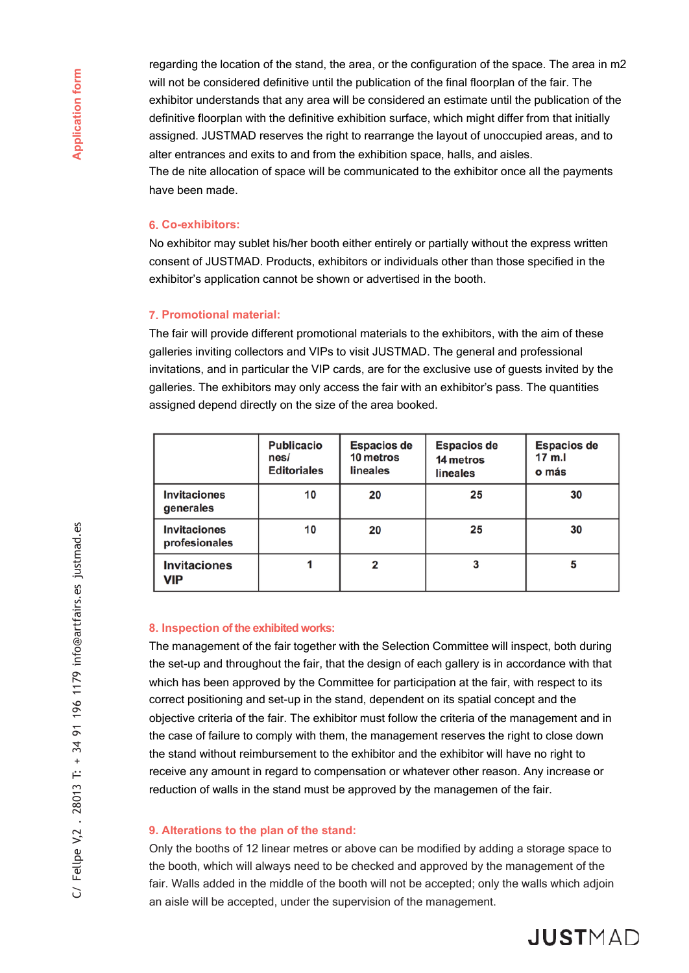regarding the location of the stand, the area, or the configuration of the space. The area in m2 will not be considered definitive until the publication of the final floorplan of the fair. The exhibitor understands that any area will be considered an estimate until the publication of the definitive floorplan with the definitive exhibition surface, which might differ from that initially assigned. JUSTMAD reserves the right to rearrange the layout of unoccupied areas, and to alter entrances and exits to and from the exhibition space, halls, and aisles. The de nite allocation of space will be communicated to the exhibitor once all the payments have been made.

#### **6. Co-exhibitors:**

No exhibitor may sublet his/her booth either entirely or partially without the express written consent of JUSTMAD. Products, exhibitors or individuals other than those specified in the exhibitor's application cannot be shown or advertised in the booth.

#### **7. Promotional material:**

The fair will provide different promotional materials to the exhibitors, with the aim of these galleries inviting collectors and VIPs to visit JUSTMAD. The general and professional invitations, and in particular the VIP cards, are for the exclusive use of guests invited by the galleries. The exhibitors may only access the fair with an exhibitor's pass. The quantities assigned depend directly on the size of the area booked.

|                                      | <b>Publicacio</b><br>nes/<br><b>Editoriales</b> | <b>Espacios de</b><br>10 metros<br>lineales | <b>Espacios de</b><br>14 metros<br>lineales | <b>Espacios de</b><br>17 m.l<br>o más |
|--------------------------------------|-------------------------------------------------|---------------------------------------------|---------------------------------------------|---------------------------------------|
| <b>Invitaciones</b><br>generales     | 10                                              | 20                                          | 25                                          | 30                                    |
| <b>Invitaciones</b><br>profesionales | 10                                              | 20                                          | 25                                          | 30                                    |
| <b>Invitaciones</b><br>VIP           |                                                 | 2                                           |                                             | 5                                     |

#### **8. Inspection of the exhibited works:**

The management of the fair together with the Selection Committee will inspect, both during the set-up and throughout the fair, that the design of each gallery is in accordance with that which has been approved by the Committee for participation at the fair, with respect to its correct positioning and set-up in the stand, dependent on its spatial concept and the objective criteria of the fair. The exhibitor must follow the criteria of the management and in the case of failure to comply with them, the management reserves the right to close down the stand without reimbursement to the exhibitor and the exhibitor will have no right to receive any amount in regard to compensation or whatever other reason. Any increase or reduction of walls in the stand must be approved by the managemen of the fair.

#### **9. Alterations to the plan of the stand:**

Only the booths of 12 linear metres or above can be modified by adding a storage space to the booth, which will always need to be checked and approved by the management of the fair. Walls added in the middle of the booth will not be accepted; only the walls which adjoin an aisle will be accepted, under the supervision of the management.

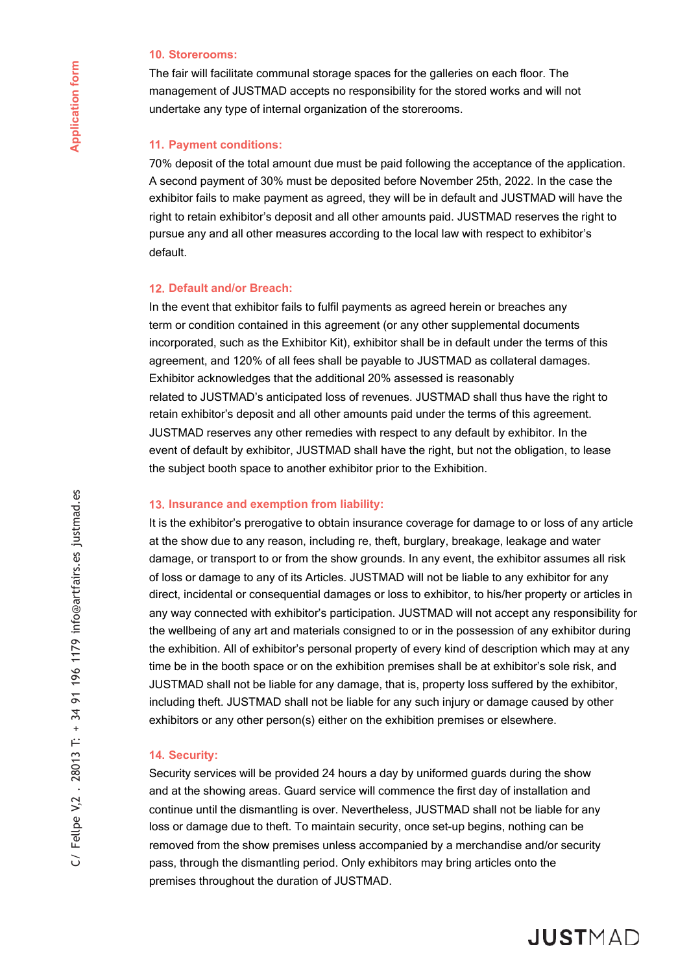#### **10. Storerooms:**

The fair will facilitate communal storage spaces for the galleries on each floor. The management of JUSTMAD accepts no responsibility for the stored works and will not undertake any type of internal organization of the storerooms.

### **11. Payment conditions:**

70% deposit of the total amount due must be paid following the acceptance of the application. A second payment of 30% must be deposited before November 25th, 2022. In the case the exhibitor fails to make payment as agreed, they will be in default and JUSTMAD will have the right to retain exhibitor's deposit and all other amounts paid. JUSTMAD reserves the right to pursue any and all other measures according to the local law with respect to exhibitor's default.

#### **12. Default and/or Breach:**

In the event that exhibitor fails to fulfil payments as agreed herein or breaches any term or condition contained in this agreement (or any other supplemental documents incorporated, such as the Exhibitor Kit), exhibitor shall be in default under the terms of this agreement, and 120% of all fees shall be payable to JUSTMAD as collateral damages. Exhibitor acknowledges that the additional 20% assessed is reasonably related to JUSTMAD's anticipated loss of revenues. JUSTMAD shall thus have the right to retain exhibitor's deposit and all other amounts paid under the terms of this agreement. JUSTMAD reserves any other remedies with respect to any default by exhibitor. In the event of default by exhibitor, JUSTMAD shall have the right, but not the obligation, to lease the subject booth space to another exhibitor prior to the Exhibition.

#### **13. Insurance and exemption from liability:**

It is the exhibitor's prerogative to obtain insurance coverage for damage to or loss of any article at the show due to any reason, including re, theft, burglary, breakage, leakage and water damage, or transport to or from the show grounds. In any event, the exhibitor assumes all risk of loss or damage to any of its Articles. JUSTMAD will not be liable to any exhibitor for any direct, incidental or consequential damages or loss to exhibitor, to his/her property or articles in any way connected with exhibitor's participation. JUSTMAD will not accept any responsibility for the wellbeing of any art and materials consigned to or in the possession of any exhibitor during the exhibition. All of exhibitor's personal property of every kind of description which may at any time be in the booth space or on the exhibition premises shall be at exhibitor's sole risk, and JUSTMAD shall not be liable for any damage, that is, property loss suffered by the exhibitor, including theft. JUSTMAD shall not be liable for any such injury or damage caused by other exhibitors or any other person(s) either on the exhibition premises or elsewhere.

#### **14. Security:**

Security services will be provided 24 hours a day by uniformed guards during the show and at the showing areas. Guard service will commence the first day of installation and continue until the dismantling is over. Nevertheless, JUSTMAD shall not be liable for any loss or damage due to theft. To maintain security, once set-up begins, nothing can be removed from the show premises unless accompanied by a merchandise and/or security pass, through the dismantling period. Only exhibitors may bring articles onto the premises throughout the duration of JUSTMAD.

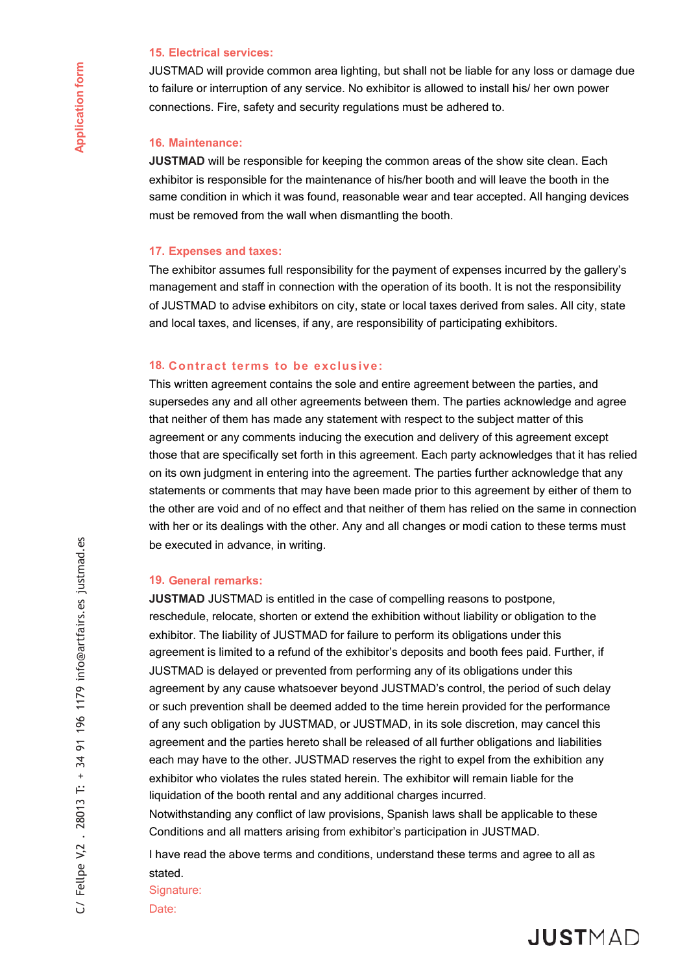#### **15. Electrical services:**

JUSTMAD will provide common area lighting, but shall not be liable for any loss or damage due to failure or interruption of any service. No exhibitor is allowed to install his/ her own power connections. Fire, safety and security regulations must be adhered to.

#### **16. Maintenance:**

**JUSTMAD** will be responsible for keeping the common areas of the show site clean. Each exhibitor is responsible for the maintenance of his/her booth and will leave the booth in the same condition in which it was found, reasonable wear and tear accepted. All hanging devices must be removed from the wall when dismantling the booth.

#### **17. Expenses and taxes:**

The exhibitor assumes full responsibility for the payment of expenses incurred by the gallery's management and staff in connection with the operation of its booth. It is not the responsibility of JUSTMAD to advise exhibitors on city, state or local taxes derived from sales. All city, state and local taxes, and licenses, if any, are responsibility of participating exhibitors.

#### **18. Contract terms to be exclusive:**

This written agreement contains the sole and entire agreement between the parties, and supersedes any and all other agreements between them. The parties acknowledge and agree that neither of them has made any statement with respect to the subject matter of this agreement or any comments inducing the execution and delivery of this agreement except those that are specifically set forth in this agreement. Each party acknowledges that it has relied on its own judgment in entering into the agreement. The parties further acknowledge that any statements or comments that may have been made prior to this agreement by either of them to the other are void and of no effect and that neither of them has relied on the same in connection with her or its dealings with the other. Any and all changes or modi cation to these terms must be executed in advance, in writing.

#### **19. General remarks:**

**JUSTMAD** JUSTMAD is entitled in the case of compelling reasons to postpone, reschedule, relocate, shorten or extend the exhibition without liability or obligation to the exhibitor. The liability of JUSTMAD for failure to perform its obligations under this agreement is limited to a refund of the exhibitor's deposits and booth fees paid. Further, if JUSTMAD is delayed or prevented from performing any of its obligations under this agreement by any cause whatsoever beyond JUSTMAD's control, the period of such delay or such prevention shall be deemed added to the time herein provided for the performance of any such obligation by JUSTMAD, or JUSTMAD, in its sole discretion, may cancel this agreement and the parties hereto shall be released of all further obligations and liabilities each may have to the other. JUSTMAD reserves the right to expel from the exhibition any exhibitor who violates the rules stated herein. The exhibitor will remain liable for the liquidation of the booth rental and any additional charges incurred.

Notwithstanding any conflict of law provisions, Spanish laws shall be applicable to these Conditions and all matters arising from exhibitor's participation in JUSTMAD.

I have read the above terms and conditions, understand these terms and agree to all as stated.

Signature:

Date:

 $\tilde{G}$ 

Fellpe V,2. 28013 T: + 34 91 196 1179 info@artfairs.es justmad.es